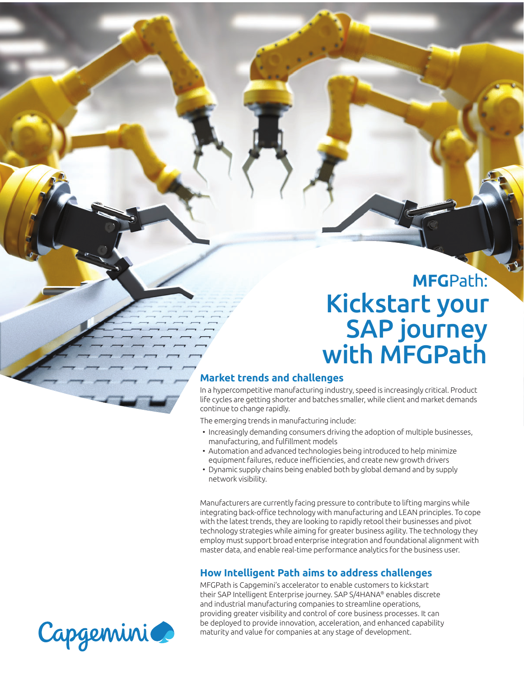# **MFG**Path: Kickstart your SAP journey with MFGPath

#### **Market trends and challenges**

In a hypercompetitive manufacturing industry, speed is increasingly critical. Product life cycles are getting shorter and batches smaller, while client and market demands continue to change rapidly.

The emerging trends in manufacturing include:

- Increasingly demanding consumers driving the adoption of multiple businesses, manufacturing, and fulfillment models
- Automation and advanced technologies being introduced to help minimize equipment failures, reduce inefficiencies, and create new growth drivers
- Dynamic supply chains being enabled both by global demand and by supply network visibility.

Manufacturers are currently facing pressure to contribute to lifting margins while integrating back-office technology with manufacturing and LEAN principles. To cope with the latest trends, they are looking to rapidly retool their businesses and pivot technology strategies while aiming for greater business agility. The technology they employ must support broad enterprise integration and foundational alignment with master data, and enable real-time performance analytics for the business user.

#### **How Intelligent Path aims to address challenges**

MFGPath is Capgemini's accelerator to enable customers to kickstart their SAP Intelligent Enterprise journey. SAP S/4HANA® enables discrete and industrial manufacturing companies to streamline operations, providing greater visibility and control of core business processes. It can be deployed to provide innovation, acceleration, and enhanced capability maturity and value for companies at any stage of development.